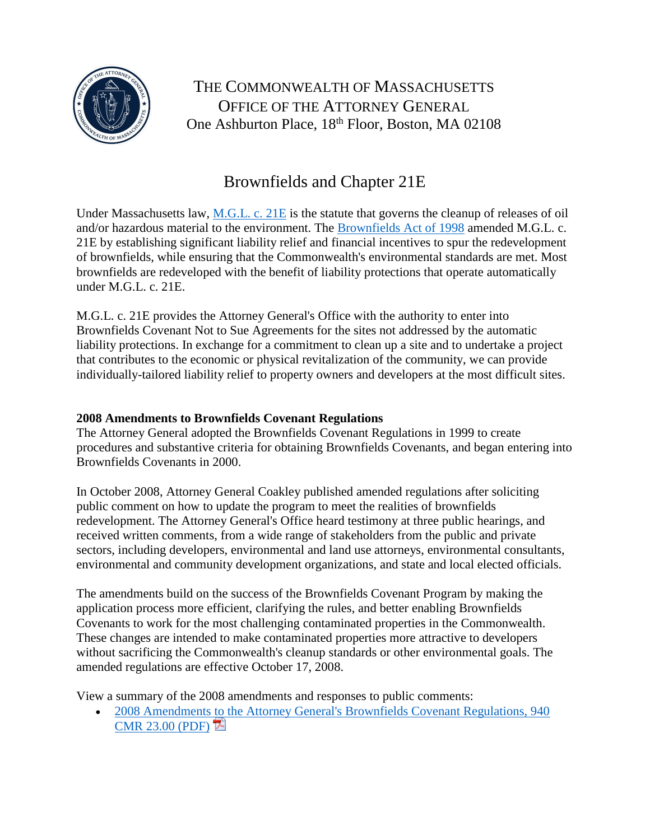

THE COMMONWEALTH OF MASSACHUSETTS OFFICE OF THE ATTORNEY GENERAL One Ashburton Place, 18<sup>th</sup> Floor, Boston, MA 02108

## Brownfields and Chapter 21E

Under Massachusetts law, [M.G.L. c. 21E](http://www.mass.gov/legis/laws/mgl/gl-21e-toc.htm) is the statute that governs the cleanup of releases of oil and/or hazardous material to the environment. The [Brownfields Act of 1998](http://www.mass.gov/legis/laws/seslaw98/sl980206.htm) amended M.G.L. c. 21E by establishing significant liability relief and financial incentives to spur the redevelopment of brownfields, while ensuring that the Commonwealth's environmental standards are met. Most brownfields are redeveloped with the benefit of liability protections that operate automatically under M.G.L. c. 21E.

M.G.L. c. 21E provides the Attorney General's Office with the authority to enter into Brownfields Covenant Not to Sue Agreements for the sites not addressed by the automatic liability protections. In exchange for a commitment to clean up a site and to undertake a project that contributes to the economic or physical revitalization of the community, we can provide individually-tailored liability relief to property owners and developers at the most difficult sites.

## **2008 Amendments to Brownfields Covenant Regulations**

The Attorney General adopted the Brownfields Covenant Regulations in 1999 to create procedures and substantive criteria for obtaining Brownfields Covenants, and began entering into Brownfields Covenants in 2000.

In October 2008, Attorney General Coakley published amended regulations after soliciting public comment on how to update the program to meet the realities of brownfields redevelopment. The Attorney General's Office heard testimony at three public hearings, and received written comments, from a wide range of stakeholders from the public and private sectors, including developers, environmental and land use attorneys, environmental consultants, environmental and community development organizations, and state and local elected officials.

The amendments build on the success of the Brownfields Covenant Program by making the application process more efficient, clarifying the rules, and better enabling Brownfields Covenants to work for the most challenging contaminated properties in the Commonwealth. These changes are intended to make contaminated properties more attractive to developers without sacrificing the Commonwealth's cleanup standards or other environmental goals. The amended regulations are effective October 17, 2008.

View a summary of the 2008 amendments and responses to public comments:

• [2008 Amendments to the Attorney General's Brownfields Covenant Regulations, 940](http://www.mass.gov/ago/docs/environmental/summary-093008.pdf)  [CMR 23.00 \(PDF\)](http://www.mass.gov/ago/docs/environmental/summary-093008.pdf)  $\overline{\mathbb{E}}$